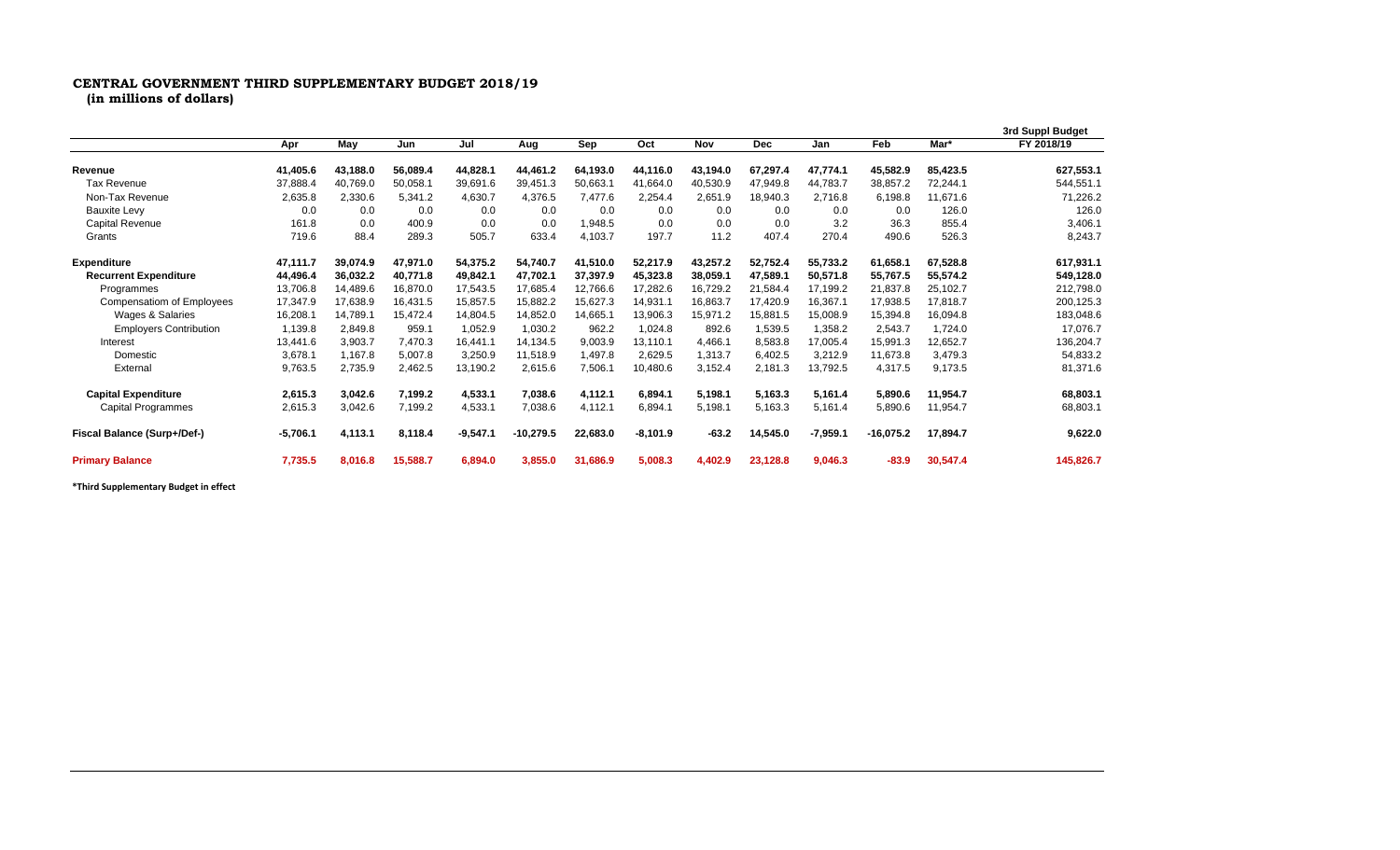## **CENTRAL GOVERNMENT THIRD SUPPLEMENTARY BUDGET 2018/19**

**(in millions of dollars)**

|                               |            |          |          |            |             |          |            |          |            |            |             |          | 3rd Suppl Budget |
|-------------------------------|------------|----------|----------|------------|-------------|----------|------------|----------|------------|------------|-------------|----------|------------------|
|                               | Apr        | May      | Jun      | Jul        | Aug         | Sep      | Oct        | Nov      | <b>Dec</b> | Jan        | Feb         | Mar*     | FY 2018/19       |
| Revenue                       | 41,405.6   | 43.188.0 | 56,089.4 | 44,828.1   | 44.461.2    | 64.193.0 | 44.116.0   | 43,194.0 | 67,297.4   | 47,774.1   | 45,582.9    | 85,423.5 | 627,553.1        |
| Tax Revenue                   | 37,888.4   | 40,769.0 | 50,058.1 | 39,691.6   | 39,451.3    | 50,663.1 | 41.664.0   | 40,530.9 | 47,949.8   | 44,783.7   | 38,857.2    | 72,244.1 | 544,551.1        |
| Non-Tax Revenue               | 2,635.8    | 2,330.6  | 5,341.2  | 4,630.7    | 4,376.5     | 7,477.6  | 2,254.4    | 2,651.9  | 18.940.3   | 2,716.8    | 6,198.8     | 11,671.6 | 71,226.2         |
| <b>Bauxite Levy</b>           | 0.0        | 0.0      | 0.0      | 0.0        | 0.0         | 0.0      | 0.0        | 0.0      | 0.0        | 0.0        | 0.0         | 126.0    | 126.0            |
| Capital Revenue               | 161.8      | 0.0      | 400.9    | 0.0        | 0.0         | 1,948.5  | 0.0        | 0.0      | 0.0        | 3.2        | 36.3        | 855.4    | 3,406.1          |
| Grants                        | 719.6      | 88.4     | 289.3    | 505.7      | 633.4       | 4,103.7  | 197.7      | 11.2     | 407.4      | 270.4      | 490.6       | 526.3    | 8,243.7          |
| <b>Expenditure</b>            | 47.111.7   | 39,074.9 | 47,971.0 | 54,375.2   | 54,740.7    | 41,510.0 | 52,217.9   | 43,257.2 | 52,752.4   | 55,733.2   | 61,658.1    | 67,528.8 | 617,931.1        |
| <b>Recurrent Expenditure</b>  | 44,496.4   | 36.032.2 | 40.771.8 | 49,842.1   | 47,702.1    | 37.397.9 | 45.323.8   | 38,059.1 | 47,589.1   | 50.571.8   | 55,767.5    | 55,574.2 | 549,128.0        |
| Programmes                    | 13,706.8   | 14,489.6 | 16,870.0 | 17,543.5   | 17,685.4    | 12,766.6 | 17,282.6   | 16,729.2 | 21,584.4   | 17,199.2   | 21,837.8    | 25,102.7 | 212,798.0        |
| Compensatiom of Employees     | 17,347.9   | 17,638.9 | 16,431.5 | 15,857.5   | 15,882.2    | 15,627.3 | 14,931.1   | 16,863.7 | 17,420.9   | 16,367.1   | 17.938.5    | 17,818.7 | 200,125.3        |
| Wages & Salaries              | 16,208.1   | 14,789.1 | 15,472.4 | 14,804.5   | 14,852.0    | 14,665.1 | 13,906.3   | 15,971.2 | 15,881.5   | 15,008.9   | 15,394.8    | 16,094.8 | 183,048.6        |
| <b>Employers Contribution</b> | 1,139.8    | 2,849.8  | 959.1    | 1,052.9    | 1.030.2     | 962.2    | 1,024.8    | 892.6    | 1,539.5    | 1,358.2    | 2,543.7     | 1,724.0  | 17,076.7         |
| Interest                      | 13.441.6   | 3,903.7  | 7,470.3  | 16.441.1   | 14,134.5    | 9,003.9  | 13,110.1   | 4,466.1  | 8,583.8    | 17,005.4   | 15,991.3    | 12,652.7 | 136,204.7        |
| Domestic                      | 3,678.1    | 1,167.8  | 5,007.8  | 3,250.9    | 11,518.9    | 1,497.8  | 2,629.5    | 1,313.7  | 6,402.5    | 3,212.9    | 11,673.8    | 3,479.3  | 54,833.2         |
| External                      | 9,763.5    | 2,735.9  | 2,462.5  | 13,190.2   | 2,615.6     | 7,506.1  | 10,480.6   | 3,152.4  | 2,181.3    | 13,792.5   | 4,317.5     | 9,173.5  | 81,371.6         |
| <b>Capital Expenditure</b>    | 2,615.3    | 3,042.6  | 7,199.2  | 4,533.1    | 7,038.6     | 4,112.1  | 6,894.1    | 5,198.1  | 5,163.3    | 5.161.4    | 5,890.6     | 11,954.7 | 68,803.1         |
| <b>Capital Programmes</b>     | 2,615.3    | 3,042.6  | 7,199.2  | 4,533.1    | 7,038.6     | 4,112.1  | 6,894.1    | 5,198.1  | 5,163.3    | 5,161.4    | 5,890.6     | 11,954.7 | 68,803.1         |
| Fiscal Balance (Surp+/Def-)   | $-5,706.1$ | 4,113.1  | 8,118.4  | $-9,547.1$ | $-10,279.5$ | 22,683.0 | $-8,101.9$ | $-63.2$  | 14,545.0   | $-7,959.1$ | $-16,075.2$ | 17,894.7 | 9,622.0          |
| <b>Primary Balance</b>        | 7,735.5    | 8,016.8  | 15,588.7 | 6,894.0    | 3,855.0     | 31.686.9 | 5,008.3    | 4,402.9  | 23,128.8   | 9.046.3    | $-83.9$     | 30,547.4 | 145,826.7        |

**\*Third Supplementary Budget in effect**